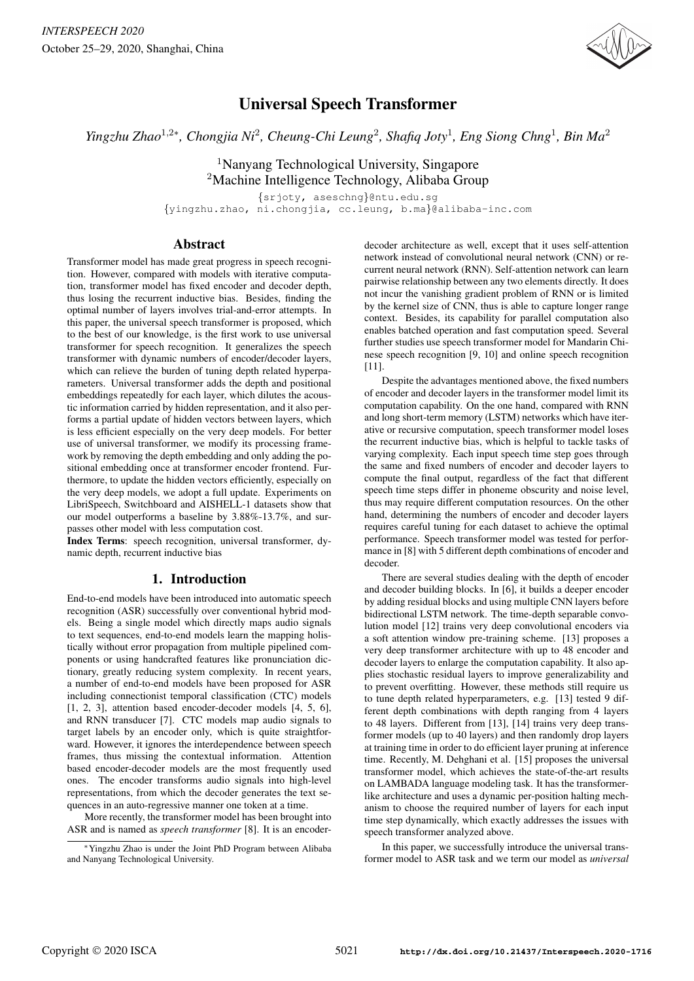

# Universal Speech Transformer

*Yingzhu Zhao<sup>1,2∗</sup>, Chongjia Ni<sup>2</sup>, Cheung-Chi Leung<sup>2</sup>, Shafiq Joty<sup>1</sup>, Eng Siong Chng<sup>1</sup>, Bin Ma<sup>2</sup>* 

<sup>1</sup>Nanyang Technological University, Singapore <sup>2</sup>Machine Intelligence Technology, Alibaba Group

{srjoty, aseschng}@ntu.edu.sg {yingzhu.zhao, ni.chongjia, cc.leung, b.ma}@alibaba-inc.com

# Abstract

Transformer model has made great progress in speech recognition. However, compared with models with iterative computation, transformer model has fixed encoder and decoder depth, thus losing the recurrent inductive bias. Besides, finding the optimal number of layers involves trial-and-error attempts. In this paper, the universal speech transformer is proposed, which to the best of our knowledge, is the first work to use universal transformer for speech recognition. It generalizes the speech transformer with dynamic numbers of encoder/decoder layers, which can relieve the burden of tuning depth related hyperparameters. Universal transformer adds the depth and positional embeddings repeatedly for each layer, which dilutes the acoustic information carried by hidden representation, and it also performs a partial update of hidden vectors between layers, which is less efficient especially on the very deep models. For better use of universal transformer, we modify its processing framework by removing the depth embedding and only adding the positional embedding once at transformer encoder frontend. Furthermore, to update the hidden vectors efficiently, especially on the very deep models, we adopt a full update. Experiments on LibriSpeech, Switchboard and AISHELL-1 datasets show that our model outperforms a baseline by 3.88%-13.7%, and surpasses other model with less computation cost.

Index Terms: speech recognition, universal transformer, dynamic depth, recurrent inductive bias

# 1. Introduction

End-to-end models have been introduced into automatic speech recognition (ASR) successfully over conventional hybrid models. Being a single model which directly maps audio signals to text sequences, end-to-end models learn the mapping holistically without error propagation from multiple pipelined components or using handcrafted features like pronunciation dictionary, greatly reducing system complexity. In recent years, a number of end-to-end models have been proposed for ASR including connectionist temporal classification (CTC) models [1, 2, 3], attention based encoder-decoder models [4, 5, 6], and RNN transducer [7]. CTC models map audio signals to target labels by an encoder only, which is quite straightforward. However, it ignores the interdependence between speech frames, thus missing the contextual information. Attention based encoder-decoder models are the most frequently used ones. The encoder transforms audio signals into high-level representations, from which the decoder generates the text sequences in an auto-regressive manner one token at a time.

More recently, the transformer model has been brought into ASR and is named as *speech transformer* [8]. It is an encoder-

decoder architecture as well, except that it uses self-attention network instead of convolutional neural network (CNN) or recurrent neural network (RNN). Self-attention network can learn pairwise relationship between any two elements directly. It does not incur the vanishing gradient problem of RNN or is limited by the kernel size of CNN, thus is able to capture longer range context. Besides, its capability for parallel computation also enables batched operation and fast computation speed. Several further studies use speech transformer model for Mandarin Chinese speech recognition [9, 10] and online speech recognition [11].

Despite the advantages mentioned above, the fixed numbers of encoder and decoder layers in the transformer model limit its computation capability. On the one hand, compared with RNN and long short-term memory (LSTM) networks which have iterative or recursive computation, speech transformer model loses the recurrent inductive bias, which is helpful to tackle tasks of varying complexity. Each input speech time step goes through the same and fixed numbers of encoder and decoder layers to compute the final output, regardless of the fact that different speech time steps differ in phoneme obscurity and noise level, thus may require different computation resources. On the other hand, determining the numbers of encoder and decoder layers requires careful tuning for each dataset to achieve the optimal performance. Speech transformer model was tested for performance in [8] with 5 different depth combinations of encoder and decoder.

There are several studies dealing with the depth of encoder and decoder building blocks. In [6], it builds a deeper encoder by adding residual blocks and using multiple CNN layers before bidirectional LSTM network. The time-depth separable convolution model [12] trains very deep convolutional encoders via a soft attention window pre-training scheme. [13] proposes a very deep transformer architecture with up to 48 encoder and decoder layers to enlarge the computation capability. It also applies stochastic residual layers to improve generalizability and to prevent overfitting. However, these methods still require us to tune depth related hyperparameters, e.g. [13] tested 9 different depth combinations with depth ranging from 4 layers to 48 layers. Different from [13], [14] trains very deep transformer models (up to 40 layers) and then randomly drop layers at training time in order to do efficient layer pruning at inference time. Recently, M. Dehghani et al. [15] proposes the universal transformer model, which achieves the state-of-the-art results on LAMBADA language modeling task. It has the transformerlike architecture and uses a dynamic per-position halting mechanism to choose the required number of layers for each input time step dynamically, which exactly addresses the issues with speech transformer analyzed above.

In this paper, we successfully introduce the universal transformer model to ASR task and we term our model as *universal*

<sup>∗</sup>Yingzhu Zhao is under the Joint PhD Program between Alibaba and Nanyang Technological University.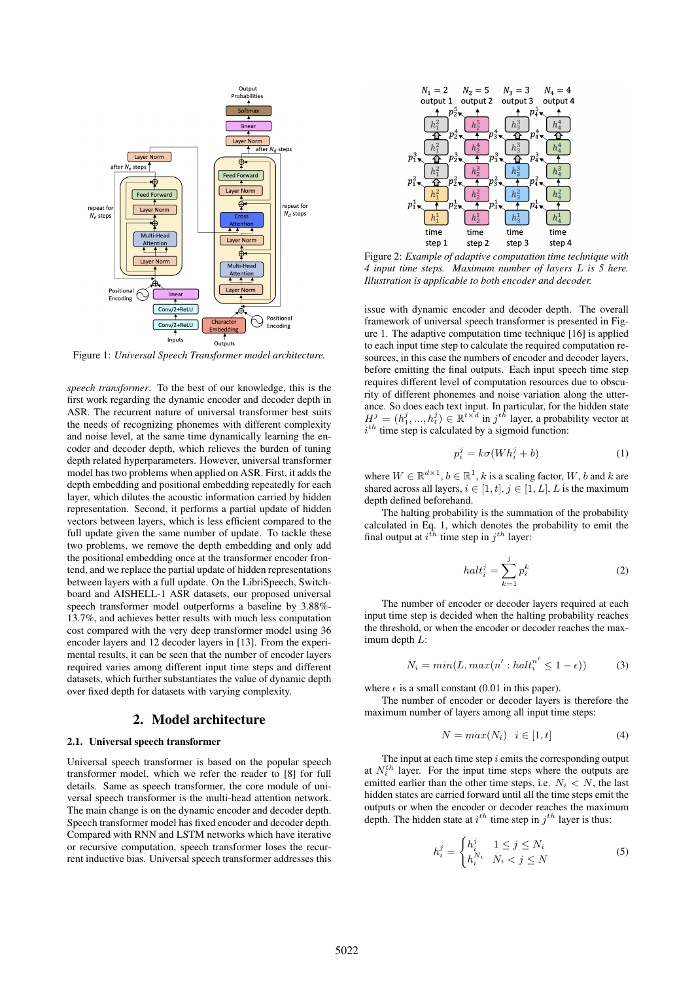

Figure 1: *Universal Speech Transformer model architecture.*

*speech transformer*. To the best of our knowledge, this is the first work regarding the dynamic encoder and decoder depth in ASR. The recurrent nature of universal transformer best suits the needs of recognizing phonemes with different complexity and noise level, at the same time dynamically learning the encoder and decoder depth, which relieves the burden of tuning depth related hyperparameters. However, universal transformer model has two problems when applied on ASR. First, it adds the depth embedding and positional embedding repeatedly for each layer, which dilutes the acoustic information carried by hidden representation. Second, it performs a partial update of hidden vectors between layers, which is less efficient compared to the full update given the same number of update. To tackle these two problems, we remove the depth embedding and only add the positional embedding once at the transformer encoder frontend, and we replace the partial update of hidden representations between layers with a full update. On the LibriSpeech, Switchboard and AISHELL-1 ASR datasets, our proposed universal speech transformer model outperforms a baseline by 3.88%- 13.7%, and achieves better results with much less computation cost compared with the very deep transformer model using 36 encoder layers and 12 decoder layers in [13]. From the experimental results, it can be seen that the number of encoder layers required varies among different input time steps and different datasets, which further substantiates the value of dynamic depth over fixed depth for datasets with varying complexity.

## 2. Model architecture

#### 2.1. Universal speech transformer

Universal speech transformer is based on the popular speech transformer model, which we refer the reader to [8] for full details. Same as speech transformer, the core module of universal speech transformer is the multi-head attention network. The main change is on the dynamic encoder and decoder depth. Speech transformer model has fixed encoder and decoder depth. Compared with RNN and LSTM networks which have iterative or recursive computation, speech transformer loses the recurrent inductive bias. Universal speech transformer addresses this



Figure 2: *Example of adaptive computation time technique with 4 input time steps. Maximum number of layers* L *is 5 here. Illustration is applicable to both encoder and decoder.*

issue with dynamic encoder and decoder depth. The overall framework of universal speech transformer is presented in Figure 1. The adaptive computation time technique [16] is applied to each input time step to calculate the required computation resources, in this case the numbers of encoder and decoder layers, before emitting the final outputs. Each input speech time step requires different level of computation resources due to obscurity of different phonemes and noise variation along the utterance. So does each text input. In particular, for the hidden state  $H^j = (h^j_1, ..., h^j_t) \in \mathbb{R}^{t \times d}$  in  $j^{th}$  layer, a probability vector at  $i^{th}$  time step is calculated by a sigmoid function:

$$
p_i^j = k\sigma(Wh_i^j + b)
$$
 (1)

where  $W \in \mathbb{R}^{d \times 1}$ ,  $b \in \mathbb{R}^1$ , k is a scaling factor, W, b and k are shared across all layers,  $i \in [1, t]$ ,  $j \in [1, L]$ , L is the maximum depth defined beforehand.

The halting probability is the summation of the probability calculated in Eq. 1, which denotes the probability to emit the final output at  $i^{th}$  time step in  $j^{th}$  layer:

$$
halt_i^j = \sum_{k=1}^j p_i^k \tag{2}
$$

The number of encoder or decoder layers required at each input time step is decided when the halting probability reaches the threshold, or when the encoder or decoder reaches the maximum depth L:

$$
N_i = \min(L, \max(n' : \text{halt}_i^{n'} \le 1 - \epsilon))
$$
 (3)

where  $\epsilon$  is a small constant (0.01 in this paper).

The number of encoder or decoder layers is therefore the maximum number of layers among all input time steps:

$$
N = max(N_i) \quad i \in [1, t] \tag{4}
$$

The input at each time step  $i$  emits the corresponding output at  $N_i^{th}$  layer. For the input time steps where the outputs are emitted earlier than the other time steps, i.e.  $N_i < N$ , the last hidden states are carried forward until all the time steps emit the outputs or when the encoder or decoder reaches the maximum depth. The hidden state at  $i^{th}$  time step in  $j^{th}$  layer is thus:

$$
h_i^j = \begin{cases} h_i^j & 1 \le j \le N_i \\ h_i^{N_i} & N_i < j \le N \end{cases}
$$
 (5)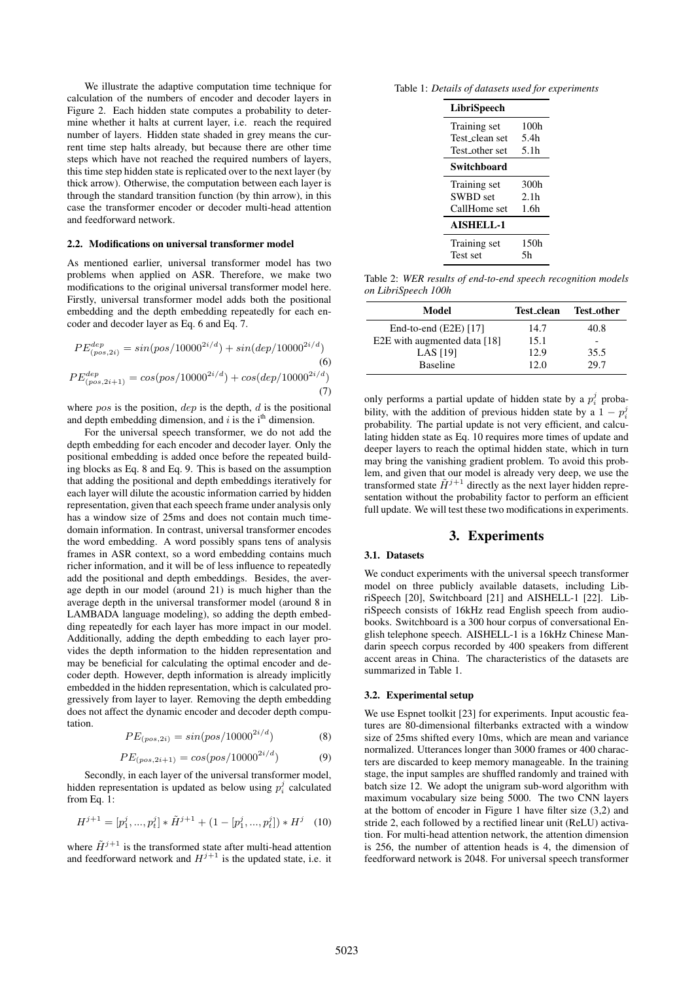We illustrate the adaptive computation time technique for calculation of the numbers of encoder and decoder layers in Figure 2. Each hidden state computes a probability to determine whether it halts at current layer, i.e. reach the required number of layers. Hidden state shaded in grey means the current time step halts already, but because there are other time steps which have not reached the required numbers of layers, this time step hidden state is replicated over to the next layer (by thick arrow). Otherwise, the computation between each layer is through the standard transition function (by thin arrow), in this case the transformer encoder or decoder multi-head attention and feedforward network.

#### 2.2. Modifications on universal transformer model

As mentioned earlier, universal transformer model has two problems when applied on ASR. Therefore, we make two modifications to the original universal transformer model here. Firstly, universal transformer model adds both the positional embedding and the depth embedding repeatedly for each encoder and decoder layer as Eq. 6 and Eq. 7.

$$
PE_{(pos, 2i)}^{dep} = sin(pos/10000^{2i/d}) + sin(dep/10000^{2i/d})
$$
\n(6)  
\n
$$
PE_{(pos, 2i+1)}^{dep} = cos(pos/10000^{2i/d}) + cos(dep/10000^{2i/d})
$$
\n(7)

where  $pos$  is the position,  $dep$  is the depth,  $d$  is the positional and depth embedding dimension, and  $i$  is the i<sup>th</sup> dimension.

For the universal speech transformer, we do not add the depth embedding for each encoder and decoder layer. Only the positional embedding is added once before the repeated building blocks as Eq. 8 and Eq. 9. This is based on the assumption that adding the positional and depth embeddings iteratively for each layer will dilute the acoustic information carried by hidden representation, given that each speech frame under analysis only has a window size of 25ms and does not contain much timedomain information. In contrast, universal transformer encodes the word embedding. A word possibly spans tens of analysis frames in ASR context, so a word embedding contains much richer information, and it will be of less influence to repeatedly add the positional and depth embeddings. Besides, the average depth in our model (around 21) is much higher than the average depth in the universal transformer model (around 8 in LAMBADA language modeling), so adding the depth embedding repeatedly for each layer has more impact in our model. Additionally, adding the depth embedding to each layer provides the depth information to the hidden representation and may be beneficial for calculating the optimal encoder and decoder depth. However, depth information is already implicitly embedded in the hidden representation, which is calculated progressively from layer to layer. Removing the depth embedding does not affect the dynamic encoder and decoder depth computation.

$$
PE_{(pos, 2i)} = \sin(pos/10000^{2i/d})
$$
 (8)

$$
PE_{(pos, 2i+1)} = \cos(pos/10000^{2i/d})
$$
 (9)

Secondly, in each layer of the universal transformer model, hidden representation is updated as below using  $p_i^j$  calculated from Eq. 1:

$$
H^{j+1} = [p_1^j, ..., p_t^j] * \tilde{H}^{j+1} + (1 - [p_1^j, ..., p_t^j]) * H^j \quad (10)
$$

where  $\tilde{H}^{j+1}$  is the transformed state after multi-head attention and feedforward network and  $H^{j+1}$  is the updated state, i.e. it

Table 1: *Details of datasets used for experiments*

| LibriSpeech      |                  |
|------------------|------------------|
| Training set     | 100 <sub>h</sub> |
| Test clean set   | 5.4h             |
| Test other set   | 5.1 <sub>h</sub> |
| Switchboard      |                  |
| Training set     | 300h             |
| <b>SWBD</b> set  | 2.1 <sub>h</sub> |
| CallHome set     | 1.6 <sub>h</sub> |
| <b>AISHELL-1</b> |                  |
| Training set     | 150h             |
| <b>Test set</b>  | 5h               |

Table 2: *WER results of end-to-end speech recognition models on LibriSpeech 100h*

| Model                        | Test_clean | <b>Test_other</b> |
|------------------------------|------------|-------------------|
| End-to-end $(E2E)$ [17]      | 14.7       | 40.8              |
| E2E with augmented data [18] | 15.1       |                   |
| <b>LAS</b> [19]              | 12.9       | 35.5              |
| <b>Baseline</b>              | 12.0       | 29.7              |

only performs a partial update of hidden state by a  $p_i^j$  probability, with the addition of previous hidden state by a  $1 - p_i^j$ probability. The partial update is not very efficient, and calculating hidden state as Eq. 10 requires more times of update and deeper layers to reach the optimal hidden state, which in turn may bring the vanishing gradient problem. To avoid this problem, and given that our model is already very deep, we use the transformed state  $\tilde{H}^{j+1}$  directly as the next layer hidden representation without the probability factor to perform an efficient full update. We will test these two modifications in experiments.

# 3. Experiments

# 3.1. Datasets

We conduct experiments with the universal speech transformer model on three publicly available datasets, including LibriSpeech [20], Switchboard [21] and AISHELL-1 [22]. LibriSpeech consists of 16kHz read English speech from audiobooks. Switchboard is a 300 hour corpus of conversational English telephone speech. AISHELL-1 is a 16kHz Chinese Mandarin speech corpus recorded by 400 speakers from different accent areas in China. The characteristics of the datasets are summarized in Table 1.

### 3.2. Experimental setup

We use Espnet toolkit [23] for experiments. Input acoustic features are 80-dimensional filterbanks extracted with a window size of 25ms shifted every 10ms, which are mean and variance normalized. Utterances longer than 3000 frames or 400 characters are discarded to keep memory manageable. In the training stage, the input samples are shuffled randomly and trained with batch size 12. We adopt the unigram sub-word algorithm with maximum vocabulary size being 5000. The two CNN layers at the bottom of encoder in Figure 1 have filter size (3,2) and stride 2, each followed by a rectified linear unit (ReLU) activation. For multi-head attention network, the attention dimension is 256, the number of attention heads is 4, the dimension of feedforward network is 2048. For universal speech transformer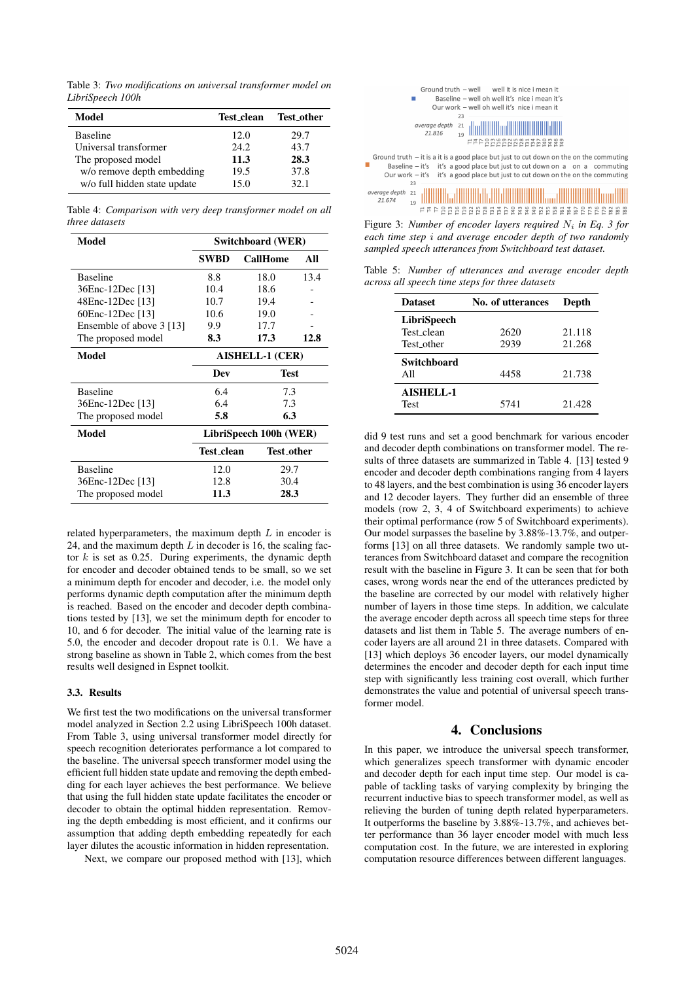Table 3: *Two modifications on universal transformer model on LibriSpeech 100h*

| Model                        | Test_clean | <b>Test_other</b> |
|------------------------------|------------|-------------------|
| <b>Baseline</b>              | 12.0       | 29.7              |
| Universal transformer        | 24.2       | 43.7              |
| The proposed model           | 11.3       | 28.3              |
| w/o remove depth embedding   | 19.5       | 37.8              |
| w/o full hidden state update | 15.0       | 32.1              |

Table 4: *Comparison with very deep transformer model on all three datasets*

| Model                    | Switchboard (WER)      |                 |      |
|--------------------------|------------------------|-----------------|------|
|                          | SWBD                   | <b>CallHome</b> | All  |
| <b>Baseline</b>          | 8.8                    | 18.0            | 13.4 |
| 36Enc-12Dec [13]         | 10.4                   | 18.6            |      |
| 48Enc-12Dec [13]         | 10.7                   | 19.4            |      |
| 60Enc-12Dec [13]         | 10.6                   | 19.0            |      |
| Ensemble of above 3 [13] | 9.9                    | 17.7            |      |
| The proposed model       | 8.3                    | 17.3            | 12.8 |
| Model                    | <b>AISHELL-1 (CER)</b> |                 |      |
|                          | Dev                    | Test            |      |
| <b>Baseline</b>          | 6.4                    | 7.3             |      |
| 36Enc-12Dec [13]         | 6.4                    | 7.3             |      |
| The proposed model       | 5.8                    | 6.3             |      |
| Model                    | LibriSpeech 100h (WER) |                 |      |
|                          | Test_clean             | Test_other      |      |
| <b>Baseline</b>          | 12.0                   | 29.7            |      |
| 36Enc-12Dec [13]         | 12.8                   | 30.4            |      |
| The proposed model       | 11.3                   | 28.3            |      |

related hyperparameters, the maximum depth  $L$  in encoder is 24, and the maximum depth  $L$  in decoder is 16, the scaling factor  $k$  is set as 0.25. During experiments, the dynamic depth for encoder and decoder obtained tends to be small, so we set a minimum depth for encoder and decoder, i.e. the model only performs dynamic depth computation after the minimum depth is reached. Based on the encoder and decoder depth combinations tested by [13], we set the minimum depth for encoder to 10, and 6 for decoder. The initial value of the learning rate is 5.0, the encoder and decoder dropout rate is 0.1. We have a strong baseline as shown in Table 2, which comes from the best results well designed in Espnet toolkit.

#### 3.3. Results

We first test the two modifications on the universal transformer model analyzed in Section 2.2 using LibriSpeech 100h dataset. From Table 3, using universal transformer model directly for speech recognition deteriorates performance a lot compared to the baseline. The universal speech transformer model using the efficient full hidden state update and removing the depth embedding for each layer achieves the best performance. We believe that using the full hidden state update facilitates the encoder or decoder to obtain the optimal hidden representation. Removing the depth embedding is most efficient, and it confirms our assumption that adding depth embedding repeatedly for each layer dilutes the acoustic information in hidden representation.

Next, we compare our proposed method with [13], which



Figure 3: *Number of encoder layers required*  $N_i$  *in Eq. 3 for each time step* i *and average encoder depth of two randomly sampled speech utterances from Switchboard test dataset.*

Table 5: *Number of utterances and average encoder depth across all speech time steps for three datasets*

| <b>Dataset</b>     | No. of utterances | Depth  |
|--------------------|-------------------|--------|
| LibriSpeech        |                   |        |
| Test clean         | 2620              | 21.118 |
| Test other         | 2939              | 21.268 |
| <b>Switchboard</b> |                   |        |
| A 11               | 4458              | 21.738 |
| <b>AISHELL-1</b>   |                   |        |
| Test               | 5741              | 21.428 |

did 9 test runs and set a good benchmark for various encoder and decoder depth combinations on transformer model. The results of three datasets are summarized in Table 4. [13] tested 9 encoder and decoder depth combinations ranging from 4 layers to 48 layers, and the best combination is using 36 encoder layers and 12 decoder layers. They further did an ensemble of three models (row 2, 3, 4 of Switchboard experiments) to achieve their optimal performance (row 5 of Switchboard experiments). Our model surpasses the baseline by 3.88%-13.7%, and outperforms [13] on all three datasets. We randomly sample two utterances from Switchboard dataset and compare the recognition result with the baseline in Figure 3. It can be seen that for both cases, wrong words near the end of the utterances predicted by the baseline are corrected by our model with relatively higher number of layers in those time steps. In addition, we calculate the average encoder depth across all speech time steps for three datasets and list them in Table 5. The average numbers of encoder layers are all around 21 in three datasets. Compared with [13] which deploys 36 encoder layers, our model dynamically determines the encoder and decoder depth for each input time step with significantly less training cost overall, which further demonstrates the value and potential of universal speech transformer model.

#### 4. Conclusions

In this paper, we introduce the universal speech transformer, which generalizes speech transformer with dynamic encoder and decoder depth for each input time step. Our model is capable of tackling tasks of varying complexity by bringing the recurrent inductive bias to speech transformer model, as well as relieving the burden of tuning depth related hyperparameters. It outperforms the baseline by 3.88%-13.7%, and achieves better performance than 36 layer encoder model with much less computation cost. In the future, we are interested in exploring computation resource differences between different languages.